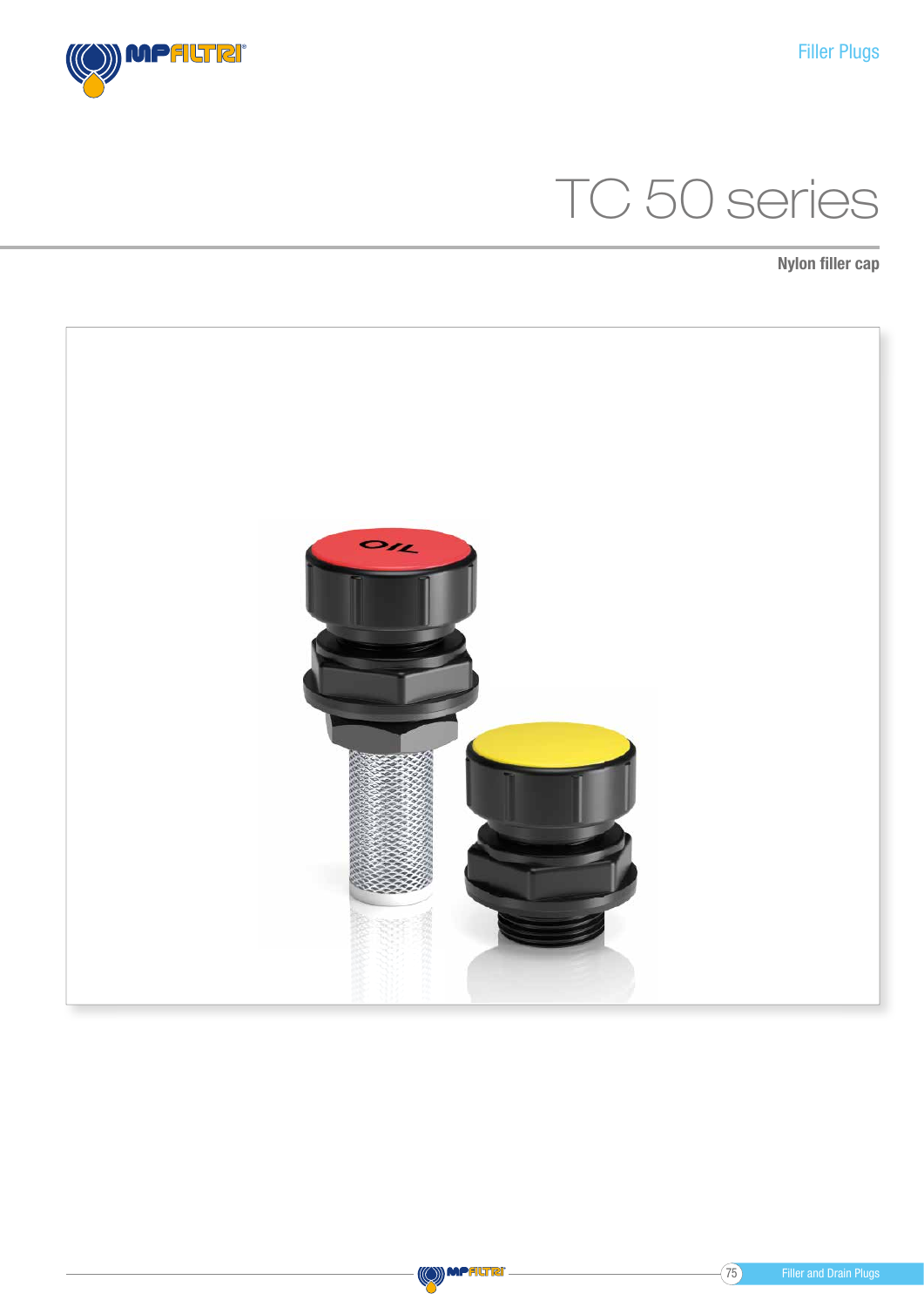# TC 50 series

Nylon filler cap



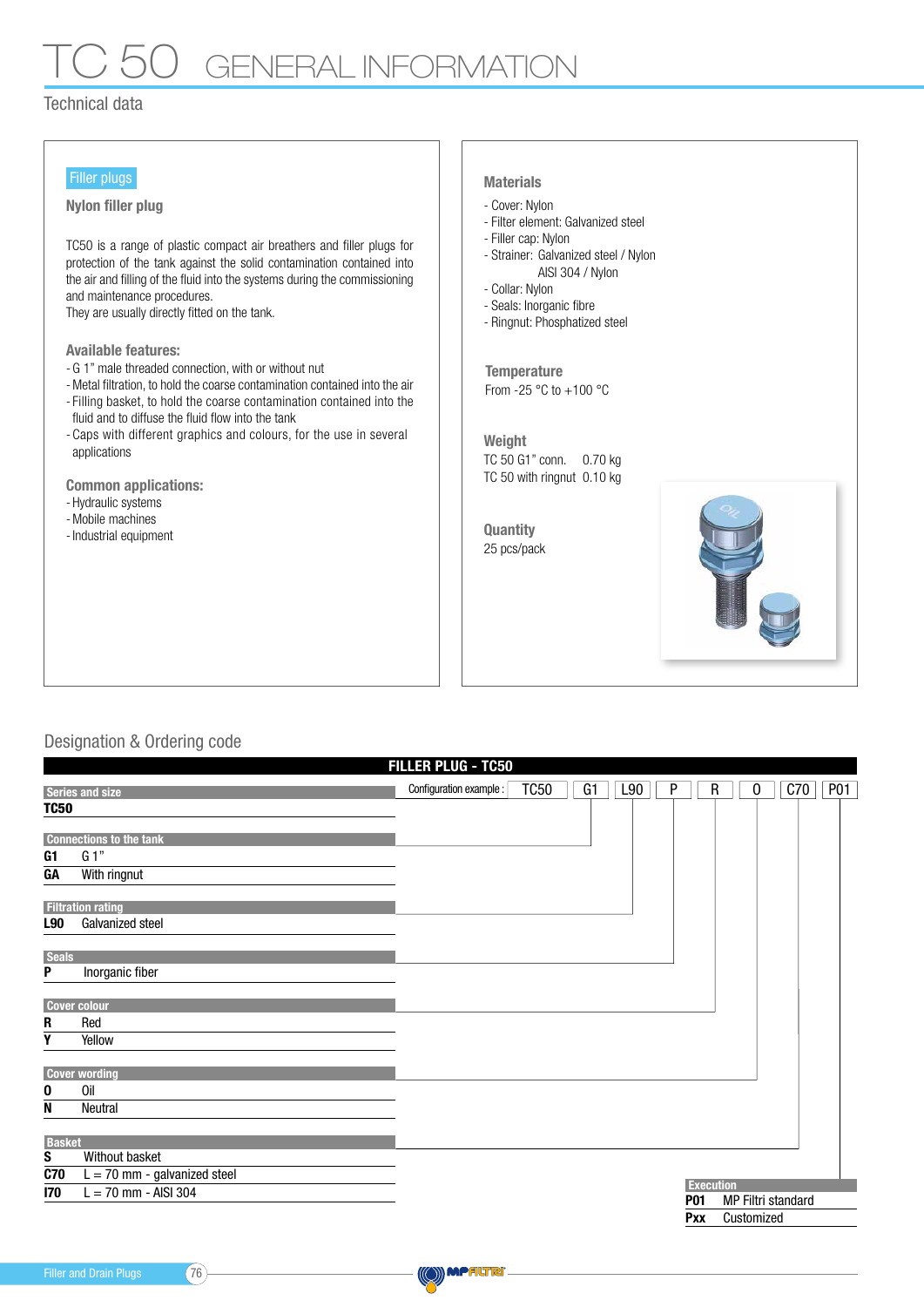## GENERAL INFORMATIO

#### Technical data

#### Filler plugs

Nylon filler plug and the cover: Nylon and the Cover: Nylon

TC50 is a range of plastic compact air breathers and filler plugs for protection of the tank against the solid contamination contained into the air and filling of the fluid into the systems during the commissioning and maintenance procedures.

They are usually directly fitted on the tank.

Available features:

- G 1" male threaded connection, with or without nut
- Metal filtration, to hold the coarse contamination contained into the air
- Filling basket, to hold the coarse contamination contained into the fluid and to diffuse the fluid flow into the tank
- Caps with different graphics and colours, for the use in several applications

Common applications:

- Hydraulic systems
- Mobile machines
- Industrial equipment

#### Materials

- 
- Filter element: Galvanized steel
- Filler cap: Nylon
- Strainer: Galvanized steel / Nylon AISI 304 / Nylon
- Collar: Nylon
- Seals: Inorganic fibre
- Ringnut: Phosphatized steel

From -25  $^{\circ}$ C to +100  $^{\circ}$ C **Temperature** 

Weight TC 50 G1" conn. 0.70 kg TC 50 with ringnut 0.10 kg

25 pcs/pack **Quantity** 



#### Designation & Ordering code

| FILLER PLUG - TC50 |                                |                         |             |    |     |            |                   |                    |     |            |
|--------------------|--------------------------------|-------------------------|-------------|----|-----|------------|-------------------|--------------------|-----|------------|
|                    | <b>Series and size</b>         | Configuration example : | <b>TC50</b> | G1 | L90 | P          | R                 | 0                  | C70 | <b>P01</b> |
| <b>TC50</b>        |                                |                         |             |    |     |            |                   |                    |     |            |
|                    |                                |                         |             |    |     |            |                   |                    |     |            |
|                    | <b>Connections to the tank</b> |                         |             |    |     |            |                   |                    |     |            |
| G1<br><b>GA</b>    | G 1"                           |                         |             |    |     |            |                   |                    |     |            |
|                    | With ringnut                   |                         |             |    |     |            |                   |                    |     |            |
|                    | <b>Filtration rating</b>       |                         |             |    |     |            |                   |                    |     |            |
| <b>L90</b>         | Galvanized steel               |                         |             |    |     |            |                   |                    |     |            |
|                    |                                |                         |             |    |     |            |                   |                    |     |            |
| <b>Seals</b>       |                                |                         |             |    |     |            |                   |                    |     |            |
| P                  | Inorganic fiber                |                         |             |    |     |            |                   |                    |     |            |
|                    | <b>Cover colour</b>            |                         |             |    |     |            |                   |                    |     |            |
| R                  | Red                            |                         |             |    |     |            |                   |                    |     |            |
| Y                  | Yellow                         |                         |             |    |     |            |                   |                    |     |            |
|                    |                                |                         |             |    |     |            |                   |                    |     |            |
|                    | <b>Cover wording</b>           |                         |             |    |     |            |                   |                    |     |            |
| 0                  | Oil                            |                         |             |    |     |            |                   |                    |     |            |
| N                  | Neutral                        |                         |             |    |     |            |                   |                    |     |            |
|                    |                                |                         |             |    |     |            |                   |                    |     |            |
| <b>Basket</b>      |                                |                         |             |    |     |            |                   |                    |     |            |
| S                  | Without basket                 |                         |             |    |     |            |                   |                    |     |            |
| <b>C70</b>         | $L = 70$ mm - galvanized steel |                         |             |    |     |            | <b>Execution</b>  |                    |     |            |
| 170                | $L = 70$ mm - AISI 304         |                         |             |    |     | <b>P01</b> |                   | MP Filtri standard |     |            |
|                    |                                |                         |             |    |     |            | Customized<br>Pxx |                    |     |            |
|                    |                                |                         |             |    |     |            |                   |                    |     |            |